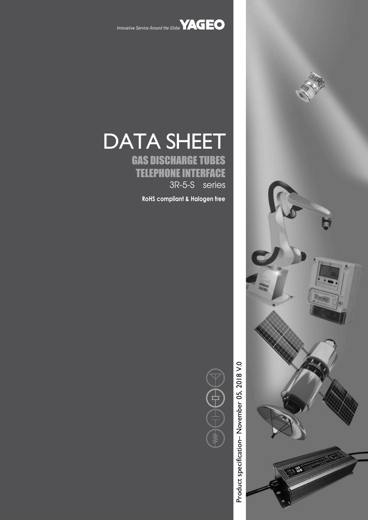

Innovative Service Around the Globe **YAGEO** 

# DATA SHEET

GAS DISCHARGE TUBES TELEPHONE INTERFACE 3R-5-S series

**RoHS compliant & Halogen free**

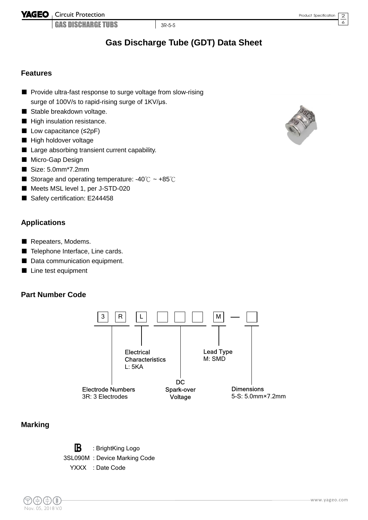**YAGEO** Circuit Protection

GAS DISCHARGE TUBS 3R-5-S

2 6

## **Gas Discharge Tube (GDT) Data Sheet**

#### **Features**

- Provide ultra-fast response to surge voltage from slow-rising surge of 100V/s to rapid-rising surge of 1KV/μs.
- Stable breakdown voltage.
- High insulation resistance.
- Low capacitance (≤2pF)
- High holdover voltage
- Large absorbing transient current capability.
- Micro-Gap Design
- Size: 5.0mm\*7.2mm
- Storage and operating temperature: -40℃ ~ +85℃
- Meets MSL level 1, per J-STD-020
- Safety certification: E244458

#### **Applications**

- Repeaters, Modems.
- Telephone Interface, Line cards.
- Data communication equipment.
- Line test equipment

#### **Part Number Code**



#### **Marking**

 $\mathbb B$ : BrightKing Logo 3SL090M : Device Marking Code YXXX : Date Code



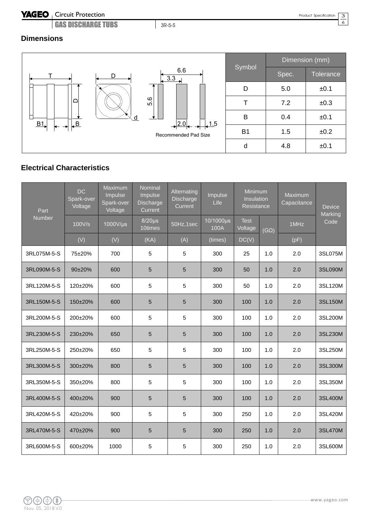#### YAGEO | Circuit Protection

GAS DISCHARGE TUBS 3R-5-S

3 6

#### **Dimensions**



#### **Electrical Characteristics**

| Part<br>Number | DC.<br>Spark-over<br>Voltage | Maximum<br>Impulse<br>Spark-over<br>Voltage | Nominal<br>Impulse<br>Discharge<br>Current | Alternating<br>Discharge<br>Current | Impulse<br>Life   | Minimum<br><b>Insulation</b><br>Resistance |             | Maximum<br>Capacitance | <b>Device</b><br>Marking |
|----------------|------------------------------|---------------------------------------------|--------------------------------------------|-------------------------------------|-------------------|--------------------------------------------|-------------|------------------------|--------------------------|
|                | 100V/s                       | 1000V/µs                                    | $8/20\mu s$<br>10times                     | 50Hz,1sec                           | 10/1000µs<br>100A | <b>Test</b><br>Voltage                     | $(G\Omega)$ | 1MHz                   | Code                     |
|                | (V)                          | (V)                                         | (KA)                                       | (A)                                 | (times)           | DC(V)                                      |             | (pF)                   |                          |
| 3RL075M-5-S    | 75±20%                       | 700                                         | 5                                          | 5                                   | 300               | 25                                         | 1.0         | 2.0                    | 3SL075M                  |
| 3RL090M-5-S    | 90±20%                       | 600                                         | 5                                          | 5                                   | 300               | 50                                         | 1.0         | 2.0                    | 3SL090M                  |
| 3RL120M-5-S    | 120±20%                      | 600                                         | 5                                          | 5                                   | 300               | 50                                         | 1.0         | 2.0                    | 3SL120M                  |
| 3RL150M-5-S    | 150±20%                      | 600                                         | 5                                          | 5                                   | 300               | 100                                        | 1.0         | 2.0                    | 3SL150M                  |
| 3RL200M-5-S    | 200±20%                      | 600                                         | 5                                          | 5                                   | 300               | 100                                        | 1.0         | 2.0                    | 3SL200M                  |
| 3RL230M-5-S    | 230±20%                      | 650                                         | 5                                          | 5                                   | 300               | 100                                        | 1.0         | 2.0                    | 3SL230M                  |
| 3RL250M-5-S    | 250±20%                      | 650                                         | 5                                          | 5                                   | 300               | 100                                        | 1.0         | 2.0                    | 3SL250M                  |
| 3RL300M-5-S    | 300±20%                      | 800                                         | 5                                          | 5                                   | 300               | 100                                        | 1.0         | 2.0                    | 3SL300M                  |
| 3RL350M-5-S    | 350±20%                      | 800                                         | 5                                          | 5                                   | 300               | 100                                        | 1.0         | 2.0                    | 3SL350M                  |
| 3RL400M-5-S    | 400±20%                      | 900                                         | 5                                          | 5                                   | 300               | 100                                        | 1.0         | 2.0                    | 3SL400M                  |
| 3RL420M-5-S    | 420±20%                      | 900                                         | 5                                          | 5                                   | 300               | 250                                        | 1.0         | 2.0                    | 3SL420M                  |
| 3RL470M-5-S    | 470±20%                      | 900                                         | 5                                          | 5                                   | 300               | 250                                        | 1.0         | 2.0                    | 3SL470M                  |
| 3RL600M-5-S    | 600±20%                      | 1000                                        | 5                                          | 5                                   | 300               | 250                                        | 1.0         | 2.0                    | 3SL600M                  |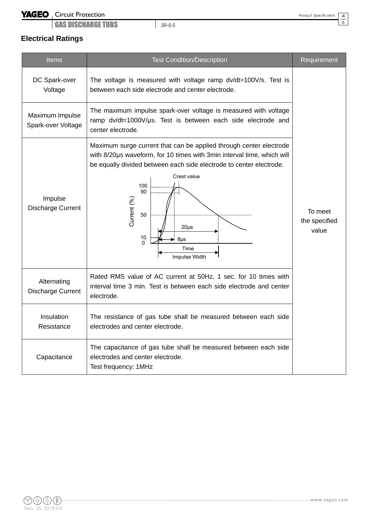#### Circuit Protection

GAS DISCHARGE TUBS **3R-5-S** 

## **Electrical Ratings**

| <b>Items</b>                            | <b>Test Condition/Description</b>                                                                                                                                                                                                                                                                                                 | Requirement                       |  |
|-----------------------------------------|-----------------------------------------------------------------------------------------------------------------------------------------------------------------------------------------------------------------------------------------------------------------------------------------------------------------------------------|-----------------------------------|--|
| DC Spark-over<br>Voltage                | The voltage is measured with voltage ramp dv/dt=100V/s. Test is<br>between each side electrode and center electrode.                                                                                                                                                                                                              |                                   |  |
| Maximum Impulse<br>Spark-over Voltage   | The maximum impulse spark-over voltage is measured with voltage<br>ramp dv/dt=1000V/µs. Test is between each side electrode and<br>center electrode.                                                                                                                                                                              |                                   |  |
| Impulse<br>Discharge Current            | Maximum surge current that can be applied through center electrode<br>with 8/20us waveform, for 10 times with 3min interval time, which will<br>be equally divided between each side electrode to center electrode.<br>Crest value<br>100<br>90<br>Current (%)<br>50<br>$20\mu s$<br>10<br>$8\mu s$<br>0<br>Time<br>Impulse Width | To meet<br>the specified<br>value |  |
| Alternating<br><b>Discharge Current</b> | Rated RMS value of AC current at 50Hz, 1 sec. for 10 times with<br>interval time 3 min. Test is between each side electrode and center<br>electrode.                                                                                                                                                                              |                                   |  |
| Insulation<br>Resistance                | The resistance of gas tube shall be measured between each side<br>electrodes and center electrode.                                                                                                                                                                                                                                |                                   |  |
| Capacitance                             |                                                                                                                                                                                                                                                                                                                                   |                                   |  |

 $\overline{4}$  $\sim$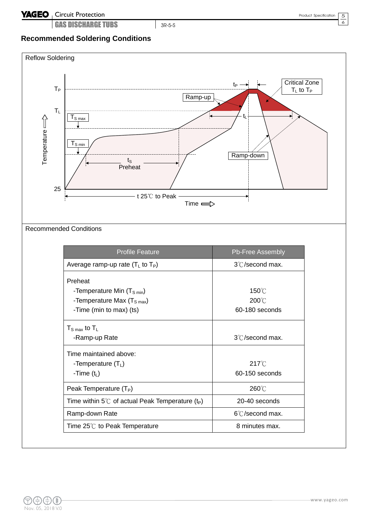GAS DISCHARGE TUBS 3R-5-S

5 6

### **Recommended Soldering Conditions**